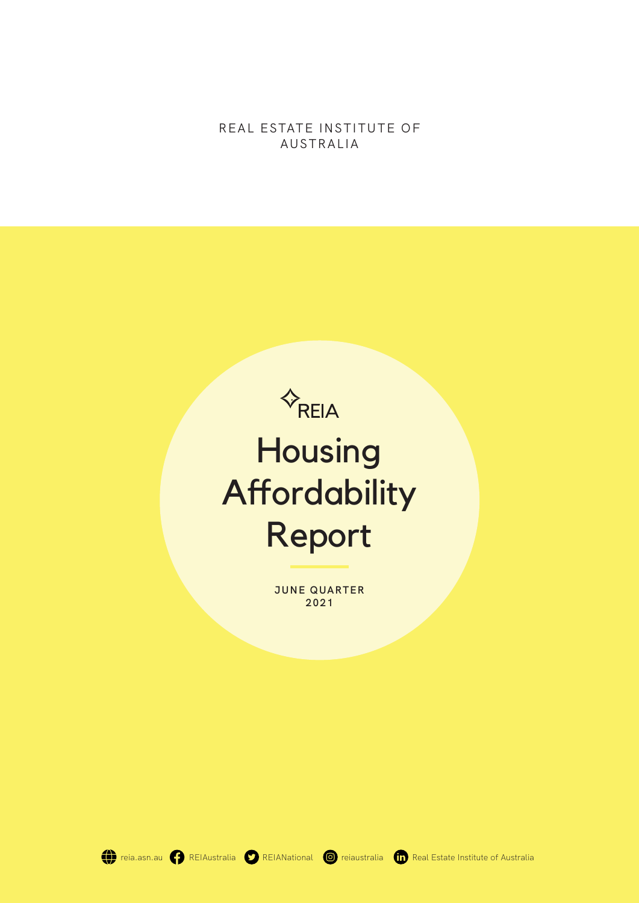REAL ESTATE INSTITUTE OF AUSTRALIA



**JUNE QUARTER 2021**

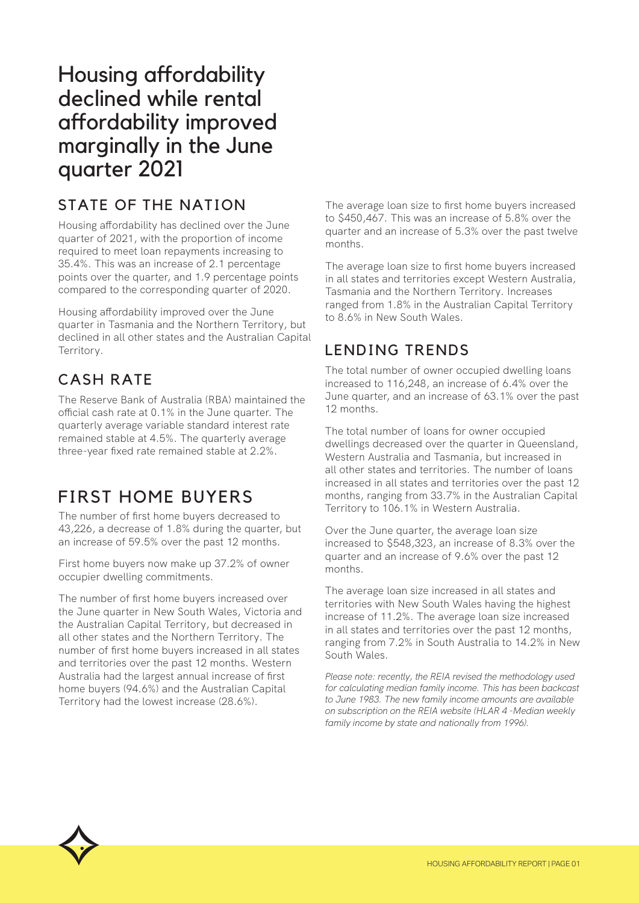# Housing affordability declined while rental affordability improved marginally in the June quarter 2021

## STATE OF THE NATION

Housing affordability has declined over the June quarter of 2021, with the proportion of income required to meet loan repayments increasing to 35.4%. This was an increase of 2.1 percentage points over the quarter, and 1.9 percentage points compared to the corresponding quarter of 2020.

Housing affordability improved over the June quarter in Tasmania and the Northern Territory, but declined in all other states and the Australian Capital Territory.

## CASH RATE

The Reserve Bank of Australia (RBA) maintained the official cash rate at 0.1% in the June quarter. The quarterly average variable standard interest rate remained stable at 4.5%. The quarterly average three-year fixed rate remained stable at 2.2%.

# FIRST HOME BUYERS

The number of first home buyers decreased to 43,226, a decrease of 1.8% during the quarter, but an increase of 59.5% over the past 12 months.

First home buyers now make up 37.2% of owner occupier dwelling commitments.

The number of first home buyers increased over the June quarter in New South Wales, Victoria and the Australian Capital Territory, but decreased in all other states and the Northern Territory. The number of first home buyers increased in all states and territories over the past 12 months. Western Australia had the largest annual increase of first home buyers (94.6%) and the Australian Capital Territory had the lowest increase (28.6%).

The average loan size to first home buyers increased to \$450,467. This was an increase of 5.8% over the quarter and an increase of 5.3% over the past twelve months.

The average loan size to first home buyers increased in all states and territories except Western Australia, Tasmania and the Northern Territory. Increases ranged from 1.8% in the Australian Capital Territory to 8.6% in New South Wales.

## LENDING TRENDS

The total number of owner occupied dwelling loans increased to 116,248, an increase of 6.4% over the June quarter, and an increase of 63.1% over the past 12 months.

The total number of loans for owner occupied dwellings decreased over the quarter in Queensland, Western Australia and Tasmania, but increased in all other states and territories. The number of loans increased in all states and territories over the past 12 months, ranging from 33.7% in the Australian Capital Territory to 106.1% in Western Australia.

Over the June quarter, the average loan size increased to \$548,323, an increase of 8.3% over the quarter and an increase of 9.6% over the past 12 months.

The average loan size increased in all states and territories with New South Wales having the highest increase of 11.2%. The average loan size increased in all states and territories over the past 12 months, ranging from 7.2% in South Australia to 14.2% in New South Wales.

*Please note: recently, the REIA revised the methodology used for calculating median family income. This has been backcast to June 1983. The new family income amounts are available on subscription on the REIA website (HLAR 4 -Median weekly family income by state and nationally from 1996).*

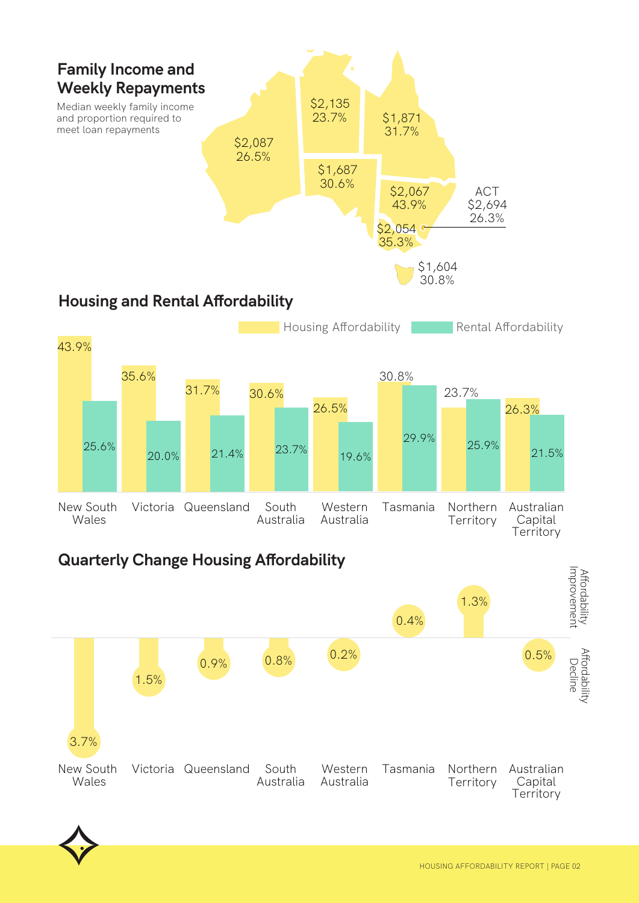



20.0% 21.4% 23.7% 19.6%

# **Quarterly Change Housing Affordability**



26.5%



25.6%

**Territory** 

29.9% 25.9% 21.5%

Australian Capital **Territory** 

26.3%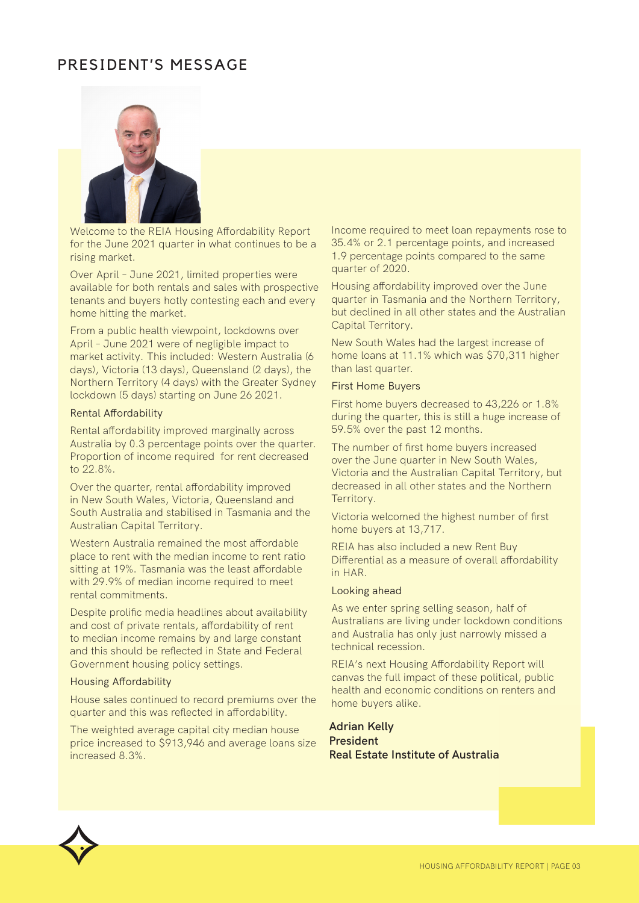## PRESIDENT'S MESSAGE



Welcome to the REIA Housing Affordability Report for the June 2021 quarter in what continues to be a rising market.

Over April – June 2021, limited properties were available for both rentals and sales with prospective tenants and buyers hotly contesting each and every home hitting the market.

From a public health viewpoint, lockdowns over April – June 2021 were of negligible impact to market activity. This included: Western Australia (6 days), Victoria (13 days), Queensland (2 days), the Northern Territory (4 days) with the Greater Sydney lockdown (5 days) starting on June 26 2021.

#### Rental Affordability

Rental affordability improved marginally across Australia by 0.3 percentage points over the quarter. Proportion of income required for rent decreased to 22.8%.

Over the quarter, rental affordability improved in New South Wales, Victoria, Queensland and South Australia and stabilised in Tasmania and the Australian Capital Territory.

Western Australia remained the most affordable place to rent with the median income to rent ratio sitting at 19%. Tasmania was the least affordable with 29.9% of median income required to meet rental commitments.

Despite prolific media headlines about availability and cost of private rentals, affordability of rent to median income remains by and large constant and this should be reflected in State and Federal Government housing policy settings.

#### Housing Affordability

House sales continued to record premiums over the quarter and this was reflected in affordability.

The weighted average capital city median house price increased to \$913,946 and average loans size increased 8.3%.

Income required to meet loan repayments rose to 35.4% or 2.1 percentage points, and increased 1.9 percentage points compared to the same quarter of 2020.

Housing affordability improved over the June quarter in Tasmania and the Northern Territory, but declined in all other states and the Australian Capital Territory.

New South Wales had the largest increase of home loans at 11.1% which was \$70,311 higher than last quarter.

#### First Home Buyers

First home buyers decreased to 43,226 or 1.8% during the quarter, this is still a huge increase of 59.5% over the past 12 months.

The number of first home buyers increased over the June quarter in New South Wales, Victoria and the Australian Capital Territory, but decreased in all other states and the Northern Territory.

Victoria welcomed the highest number of first home buyers at 13,717.

REIA has also included a new Rent Buy Differential as a measure of overall affordability in HAR.

#### Looking ahead

As we enter spring selling season, half of Australians are living under lockdown conditions and Australia has only just narrowly missed a technical recession.

REIA's next Housing Affordability Report will canvas the full impact of these political, public health and economic conditions on renters and home buyers alike.

#### **Adrian Kelly President Real Estate Institute of Australia**

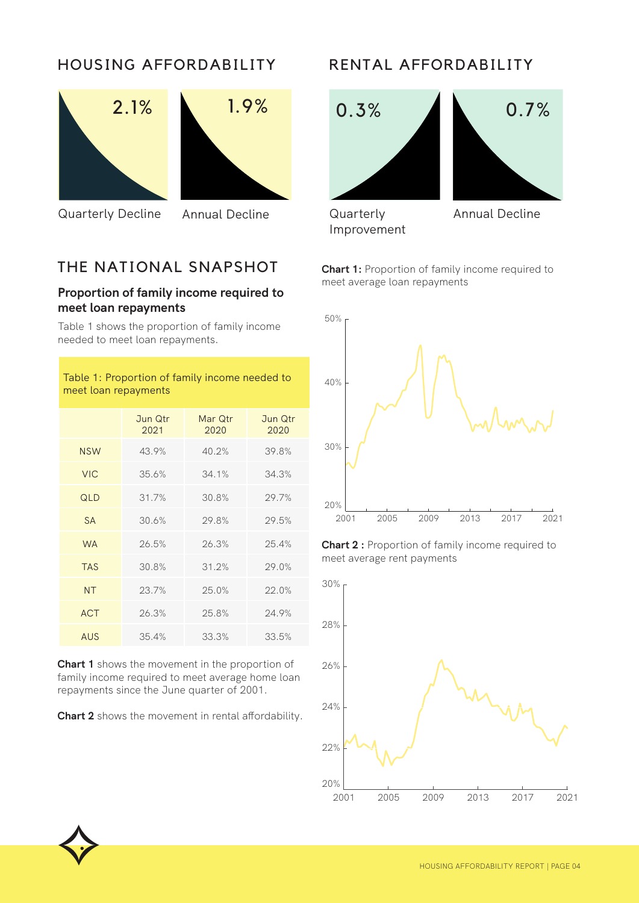## HOUSING AFFORDABILITY





Quarterly Decline Annual Decline **Quarterly** 

## THE NATIONAL SNAPSHOT

#### **Proportion of family income required to meet loan repayments**

Table 1 shows the proportion of family income needed to meet loan repayments.

#### Table 1: Proportion of family income needed to meet loan repayments

|            | Jun Qtr<br>2021 | Mar Qtr<br>2020 | Jun Qtr<br>2020 |
|------------|-----------------|-----------------|-----------------|
| <b>NSW</b> | 43.9%           | 40.2%           | 39.8%           |
| <b>VIC</b> | 35.6%           | 34.1%           | 34.3%           |
| QLD        | 31.7%           | 30.8%           | 29.7%           |
| <b>SA</b>  | 30.6%           | 29.8%           | 29.5%           |
| <b>WA</b>  | 26.5%           | 26.3%           | 25.4%           |
| <b>TAS</b> | 30.8%           | 31.2%           | 29.0%           |
| <b>NT</b>  | 23.7%           | 25.0%           | 22.0%           |
| <b>ACT</b> | 26.3%           | 25.8%           | 24.9%           |
| AUS        | 35.4%           | 33.3%           | 33.5%           |

**Chart 1** shows the movement in the proportion of family income required to meet average home loan repayments since the June quarter of 2001.

**Chart 2** shows the movement in rental affordability.

## RENTAL AFFORDABILITY





Improvement

**Chart 1:** Proportion of family income required to meet average loan repayments



**Chart 2 :** Proportion of family income required to meet average rent payments



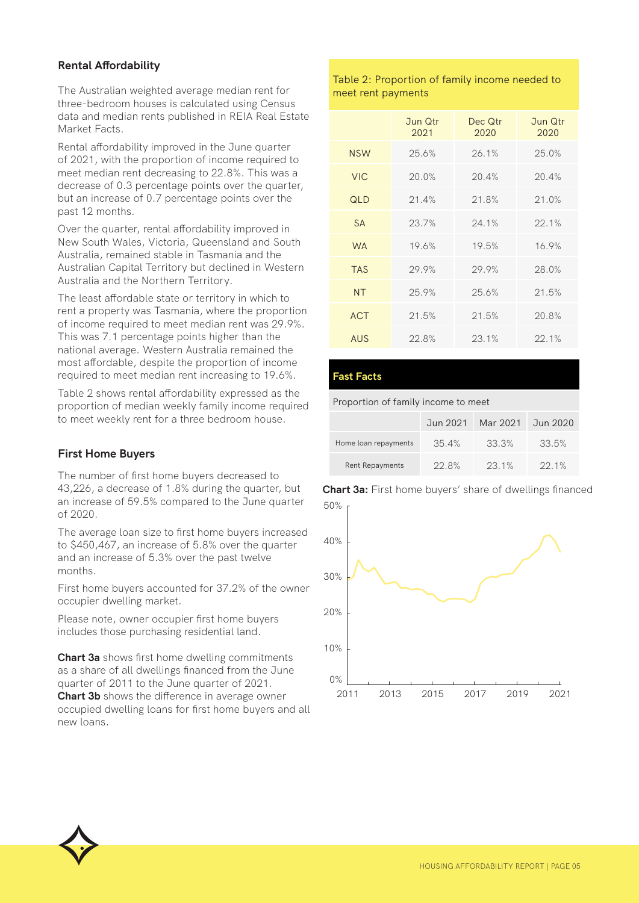#### **Rental Affordability**

The Australian weighted average median rent for three-bedroom houses is calculated using Census data and median rents published in REIA Real Estate Market Facts.

Rental affordability improved in the June quarter of 2021, with the proportion of income required to meet median rent decreasing to 22.8%. This was a decrease of 0.3 percentage points over the quarter, but an increase of 0.7 percentage points over the past 12 months.

Over the quarter, rental affordability improved in New South Wales, Victoria, Queensland and South Australia, remained stable in Tasmania and the Australian Capital Territory but declined in Western Australia and the Northern Territory.

The least affordable state or territory in which to rent a property was Tasmania, where the proportion of income required to meet median rent was 29.9%. This was 7.1 percentage points higher than the national average. Western Australia remained the most affordable, despite the proportion of income required to meet median rent increasing to 19.6%.

Table 2 shows rental affordability expressed as the proportion of median weekly family income required to meet weekly rent for a three bedroom house.

#### **First Home Buyers**

The number of first home buyers decreased to 43,226, a decrease of 1.8% during the quarter, but an increase of 59.5% compared to the June quarter of 2020.

The average loan size to first home buyers increased to \$450,467, an increase of 5.8% over the quarter and an increase of 5.3% over the past twelve months.

First home buyers accounted for 37.2% of the owner occupier dwelling market.

Please note, owner occupier first home buyers includes those purchasing residential land.

**Chart 3a** shows first home dwelling commitments as a share of all dwellings financed from the June quarter of 2011 to the June quarter of 2021. **Chart 3b** shows the difference in average owner occupied dwelling loans for first home buyers and all new loans.

#### Table 2: Proportion of family income needed to meet rent payments

|            | Jun Qtr<br>2021 | Dec Qtr<br>2020 | Jun Qtr<br>2020 |
|------------|-----------------|-----------------|-----------------|
| <b>NSW</b> | 25.6%           | 26.1%           | 25.0%           |
| <b>VIC</b> | 20.0%           | 20.4%           | 20.4%           |
| QLD        | 21.4%           | 21.8%           | 21.0%           |
| <b>SA</b>  | 23.7%           | 24.1%           | 22.1%           |
| <b>WA</b>  | 19.6%           | 19.5%           | 16.9%           |
| <b>TAS</b> | 29.9%           | 29.9%           | 28.0%           |
| <b>NT</b>  | 25.9%           | 25.6%           | 21.5%           |
| <b>ACT</b> | 21.5%           | 21.5%           | 20.8%           |
| AUS        | 22.8%           | 23.1%           | 22.1%           |

#### **Fast Facts**

Proportion of family income to meet

|                      | Jun 2021 | Mar 2021 | Jun 2020 |
|----------------------|----------|----------|----------|
| Home loan repayments | $35.4\%$ | 33.3%    | 33.5%    |
| Rent Repayments      | 22.8%    | 23.1%    | 22.1%    |

50% **Chart 3a:** First home buyers' share of dwellings financed



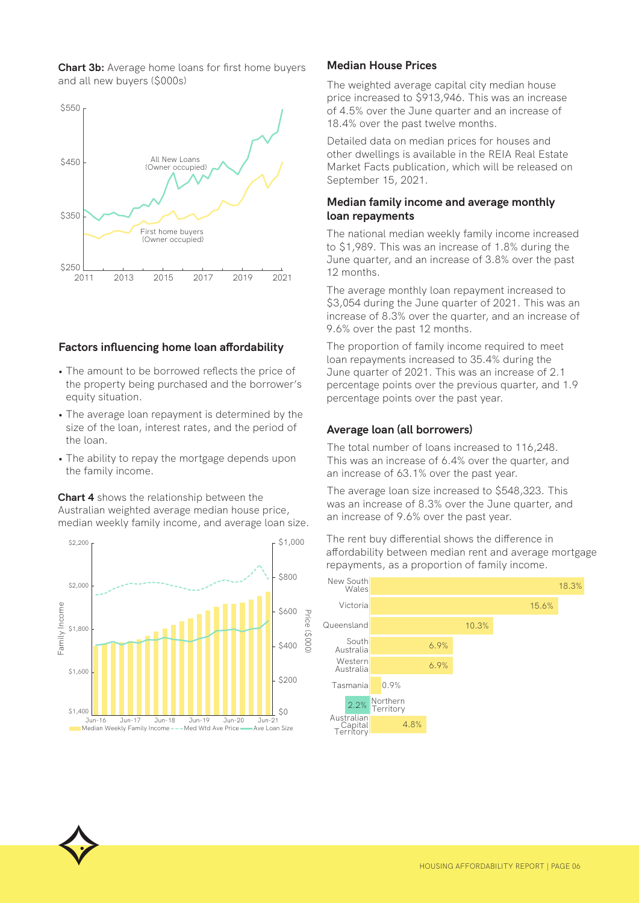**Chart 3b:** Average home loans for first home buyers and all new buyers (\$000s)



#### **Factors influencing home loan affordability**

- The amount to be borrowed reflects the price of the property being purchased and the borrower's equity situation.
- The average loan repayment is determined by the size of the loan, interest rates, and the period of the loan.
- The ability to repay the mortgage depends upon the family income.

**Chart 4** shows the relationship between the Australian weighted average median house price, median weekly family income, and average loan size.



#### **Median House Prices**

The weighted average capital city median house price increased to \$913,946. This was an increase of 4.5% over the June quarter and an increase of 18.4% over the past twelve months.

Detailed data on median prices for houses and other dwellings is available in the REIA Real Estate Market Facts publication, which will be released on September 15, 2021.

#### **Median family income and average monthly loan repayments**

The national median weekly family income increased to \$1,989. This was an increase of 1.8% during the June quarter, and an increase of 3.8% over the past 12 months.

The average monthly loan repayment increased to \$3,054 during the June quarter of 2021. This was an increase of 8.3% over the quarter, and an increase of 9.6% over the past 12 months.

The proportion of family income required to meet loan repayments increased to 35.4% during the June quarter of 2021. This was an increase of 2.1 percentage points over the previous quarter, and 1.9 percentage points over the past year.

#### **Average loan (all borrowers)**

The total number of loans increased to 116,248. This was an increase of 6.4% over the quarter, and an increase of 63.1% over the past year.

The average loan size increased to \$548,323. This was an increase of 8.3% over the June quarter, and an increase of 9.6% over the past year.

The rent buy differential shows the difference in affordability between median rent and average mortgage repayments, as a proportion of family income.

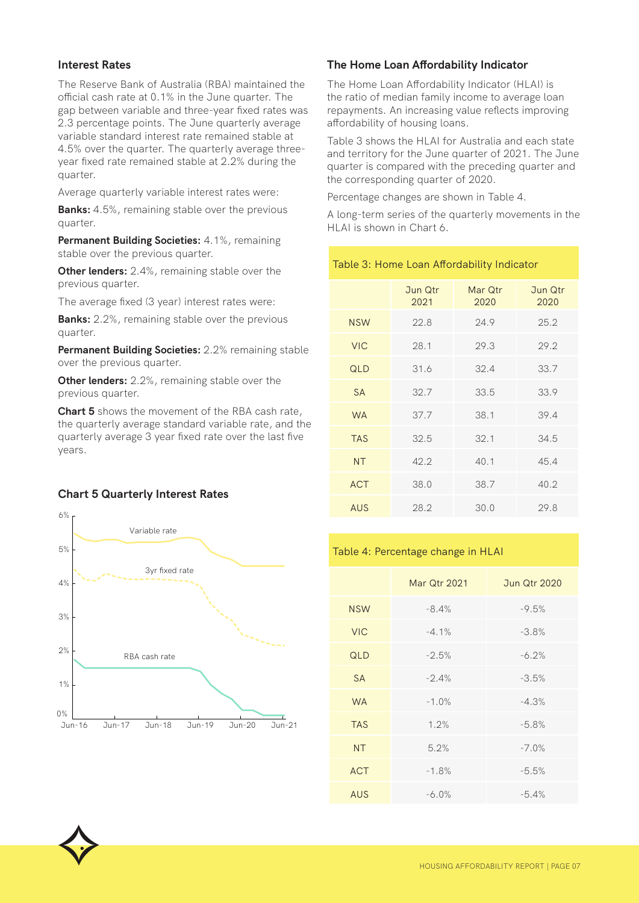#### **Interest Rates**

The Reserve Bank of Australia (RBA) maintained the official cash rate at 0.1% in the June quarter. The gap between variable and three-year fixed rates was 2.3 percentage points. The June quarterly average variable standard interest rate remained stable at 4.5% over the quarter. The quarterly average threeyear fixed rate remained stable at 2.2% during the quarter.

Average quarterly variable interest rates were:

**Banks:** 4.5%, remaining stable over the previous quarter.

**Permanent Building Societies:** 4.1%, remaining stable over the previous quarter.

**Other lenders:** 2.4%, remaining stable over the previous quarter.

The average fixed (3 year) interest rates were:

**Banks:** 2.2%, remaining stable over the previous quarter.

**Permanent Building Societies:** 2.2% remaining stable over the previous quarter.

**Other lenders:** 2.2%, remaining stable over the previous quarter.

**Chart 5** shows the movement of the RBA cash rate, the quarterly average standard variable rate, and the quarterly average 3 year fixed rate over the last five years.

#### **Chart 5 Quarterly Interest Rates**



#### **The Home Loan Affordability Indicator**

The Home Loan Affordability Indicator (HLAI) is the ratio of median family income to average loan repayments. An increasing value reflects improving affordability of housing loans.

Table 3 shows the HLAI for Australia and each state and territory for the June quarter of 2021. The June quarter is compared with the preceding quarter and the corresponding quarter of 2020.

Percentage changes are shown in Table 4.

Table 3: Home Loan Affordability Indicator

A long-term series of the quarterly movements in the HLAI is shown in Chart 6.

|            | Jun Qtr<br>2021 | Mar Qtr<br>2020 | Jun Qtr<br>2020 |
|------------|-----------------|-----------------|-----------------|
| <b>NSW</b> | 22.8            | 24.9            | 25.2            |
| <b>VIC</b> | 28.1            | 29.3            | 29.2            |
| QLD        | 31.6            | 32.4            | 33.7            |
| <b>SA</b>  | 32.7            | 33.5            | 33.9            |
| <b>WA</b>  | 37.7            | 38.1            | 39.4            |
| <b>TAS</b> | 32.5            | 32.1            | 34.5            |
| <b>NT</b>  | 42.2            | 40.1            | 45.4            |
| <b>ACT</b> | 38.0            | 38.7            | 40.2            |
| AUS        | 28.2            | 30.0            | 29.8            |

#### Table 4: Percentage change in HLAI

|            | <b>Mar Qtr 2021</b> | <b>Jun Qtr 2020</b> |
|------------|---------------------|---------------------|
| <b>NSW</b> | $-8.4%$             | $-9.5%$             |
| <b>VIC</b> | $-4.1\%$            | $-3.8%$             |
| QLD        | $-2.5%$             | $-6.2%$             |
| <b>SA</b>  | $-2.4%$             | $-3.5%$             |
| <b>WA</b>  | $-1.0%$             | $-4.3%$             |
| <b>TAS</b> | 1.2%                | $-5.8%$             |
| <b>NT</b>  | 5.2%                | $-7.0%$             |
| <b>ACT</b> | $-1.8%$             | $-5.5%$             |
| <b>AUS</b> | $-6.0%$             | $-5.4%$             |

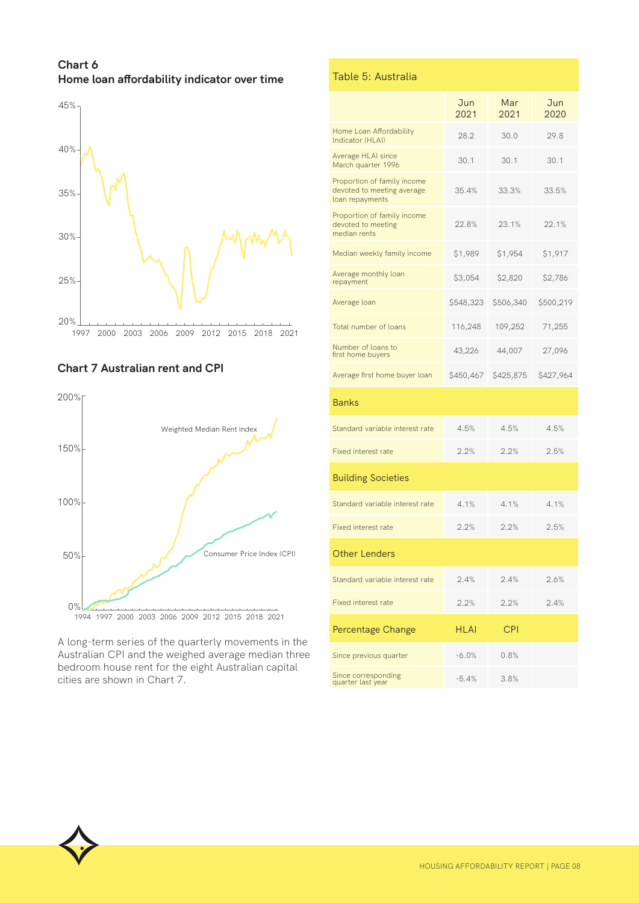**Chart 6 Home loan affordability indicator over time**



#### **Chart 7 Australian rent and CPI**



A long-term series of the quarterly movements in the Australian CPI and the weighed average median three bedroom house rent for the eight Australian capital cities are shown in Chart 7.

|  | Table 5: Australia |  |
|--|--------------------|--|
|  |                    |  |

|                                                                              | Jun<br>2021 | Mar<br>2021 | Jun<br>2020 |
|------------------------------------------------------------------------------|-------------|-------------|-------------|
| Home Loan Affordability<br>Indicator (HLAI)                                  | 28.2        | 30.0        | 29.8        |
| Average HLAI since<br>March quarter 1996                                     | 30.1        | 30.1        | 30.1        |
| Proportion of family income<br>devoted to meeting average<br>loan repayments | 35.4%       | 33.3%       | 33.5%       |
| Proportion of family income<br>devoted to meeting<br>median rents            | 22.8%       | 23.1%       | 22.1%       |
| Median weekly family income                                                  | \$1,989     | \$1,954     | \$1,917     |
| Average monthly loan<br>repayment                                            | \$3,054     | \$2,820     | \$2,786     |
| Average loan                                                                 | \$548,323   | \$506,340   | \$500,219   |
| Total number of loans                                                        | 116,248     | 109,252     | 71,255      |
| Number of loans to<br>first home buyers                                      | 43,226      | 44,007      | 27,096      |
| Average first home buyer loan                                                | \$450,467   | \$425,875   | \$427,964   |
| <b>Banks</b>                                                                 |             |             |             |
| Standard variable interest rate                                              | 4.5%        | 4.5%        | 4.5%        |
| <b>Fixed interest rate</b>                                                   | 2.2%        | 2.2%        | 2.5%        |
| <b>Building Societies</b>                                                    |             |             |             |
| Standard variable interest rate                                              | 4.1%        | 4.1%        | 4.1%        |
| <b>Fixed interest rate</b>                                                   | 2.2%        | 2.2%        | 2.5%        |
| <b>Other Lenders</b>                                                         |             |             |             |
| Standard variable interest rate                                              | 2.4%        | 2.4%        | 2.6%        |
| <b>Fixed interest rate</b>                                                   | 2.2%        | 2.2%        | 2.4%        |
| Percentage Change                                                            | HLAI        | <b>CPI</b>  |             |
| Since previous quarter                                                       | -6.0%       | 0.8%        |             |
| Since corresponding<br>quarter last year                                     | -5.4%       | 3.8%        |             |

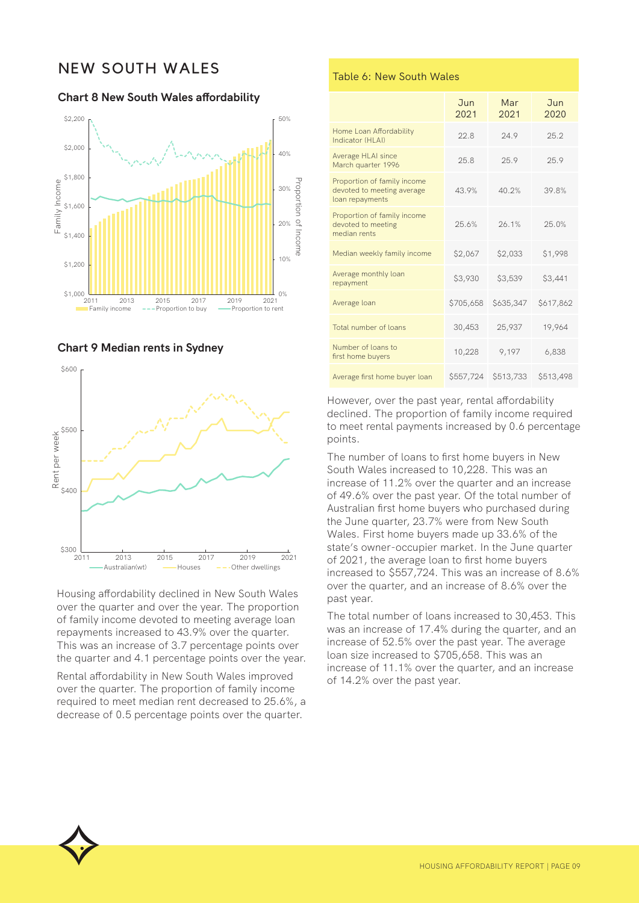## NEW SOUTH WALES

**Chart 8 New South Wales affordability**



**Chart 9 Median rents in Sydney**



Housing affordability declined in New South Wales over the quarter and over the year. The proportion of family income devoted to meeting average loan repayments increased to 43.9% over the quarter. This was an increase of 3.7 percentage points over the quarter and 4.1 percentage points over the year.

Rental affordability in New South Wales improved over the quarter. The proportion of family income required to meet median rent decreased to 25.6%, a decrease of 0.5 percentage points over the quarter.

#### Table 6: New South Wales

|                                                                              | <b>Jun</b><br>2021 | Mar<br>2021 | Jun<br>2020 |
|------------------------------------------------------------------------------|--------------------|-------------|-------------|
| Home Loan Affordability<br>Indicator (HI AI)                                 | 22.8               | 24.9        | 25.2        |
| Average HLAI since<br>March quarter 1996                                     | 25.8               | 25.9        | 25.9        |
| Proportion of family income<br>devoted to meeting average<br>loan repayments | 43.9%              | 40.2%       | 39.8%       |
| Proportion of family income<br>devoted to meeting<br>median rents            | 25.6%              | 26.1%       | 25.0%       |
| Median weekly family income                                                  | \$2,067            | \$2,033     | \$1,998     |
| Average monthly loan<br>repayment                                            | \$3,930            | \$3,539     | \$3,441     |
| Average loan                                                                 | \$705,658          | \$635,347   | \$617,862   |
| Total number of loans                                                        | 30,453             | 25,937      | 19,964      |
| Number of loans to<br>first home buyers                                      | 10,228             | 9,197       | 6,838       |
| Average first home buyer loan                                                | \$557,724          | \$513,733   | \$513,498   |

However, over the past year, rental affordability declined. The proportion of family income required to meet rental payments increased by 0.6 percentage points.

The number of loans to first home buyers in New South Wales increased to 10,228. This was an increase of 11.2% over the quarter and an increase of 49.6% over the past year. Of the total number of Australian first home buyers who purchased during the June quarter, 23.7% were from New South Wales. First home buyers made up 33.6% of the state's owner-occupier market. In the June quarter of 2021, the average loan to first home buyers increased to \$557,724. This was an increase of 8.6% over the quarter, and an increase of 8.6% over the past year.

The total number of loans increased to 30,453. This was an increase of 17.4% during the quarter, and an increase of 52.5% over the past year. The average loan size increased to \$705,658. This was an increase of 11.1% over the quarter, and an increase of 14.2% over the past year.

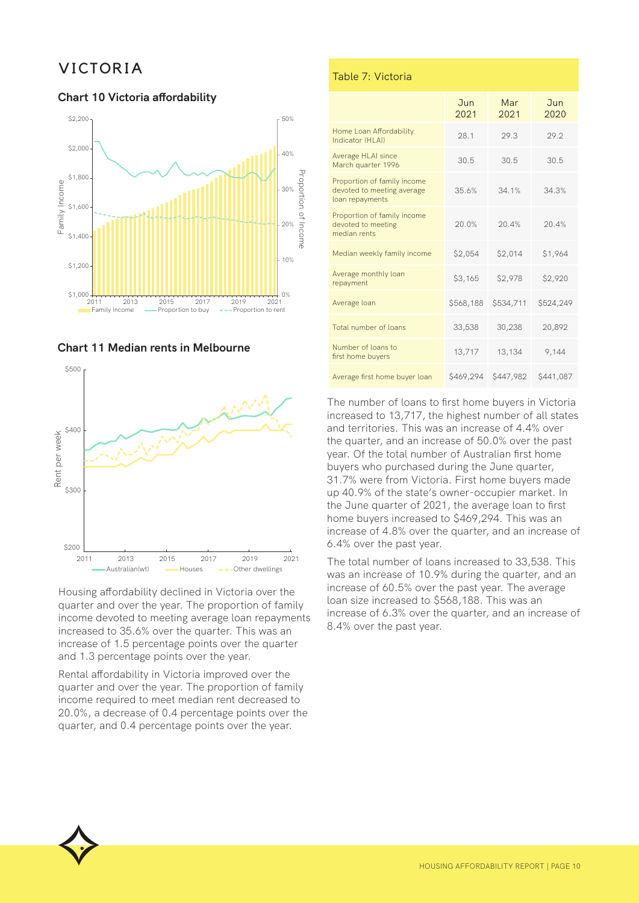## VICTORIA

#### **Chart 10 Victoria affordability**







Housing affordability declined in Victoria over the quarter and over the year. The proportion of family income devoted to meeting average loan repayments increased to 35.6% over the quarter. This was an increase of 1.5 percentage points over the quarter and 1.3 percentage points over the year.

Rental affordability in Victoria improved over the quarter and over the year. The proportion of family income required to meet median rent decreased to 20.0%, a decrease of 0.4 percentage points over the quarter, and 0.4 percentage points over the year.

#### Table 7: Victoria

|                                                                              | $J$ <sub>un</sub><br>2021 | Mar<br>2021 | Jun<br>2020 |
|------------------------------------------------------------------------------|---------------------------|-------------|-------------|
| Home Loan Affordability<br>Indicator (HI AI)                                 | 28.1                      | 29.3        | 29.2        |
| Average HLAI since<br>March quarter 1996                                     | 30.5                      | 30.5        | 30.5        |
| Proportion of family income<br>devoted to meeting average<br>loan repayments | 35.6%                     | 34.1%       | 34.3%       |
| Proportion of family income<br>devoted to meeting<br>median rents            | 20.0%                     | 20.4%       | 20.4%       |
| Median weekly family income                                                  | \$2,054                   | \$2,014     | \$1,964     |
| Average monthly loan<br>repayment                                            | \$3,165                   | \$2,978     | \$2,920     |
| Average loan                                                                 | \$568,188                 | \$534,711   | \$524,249   |
| Total number of loans                                                        | 33,538                    | 30,238      | 20,892      |
| Number of loans to<br>first home buyers                                      | 13,717                    | 13,134      | 9,144       |
| Average first home buyer loan                                                | \$469,294                 | \$447,982   | \$441,087   |

The number of loans to first home buyers in Victoria increased to 13,717, the highest number of all states and territories. This was an increase of 4.4% over the quarter, and an increase of 50.0% over the past year. Of the total number of Australian first home buyers who purchased during the June quarter, 31.7% were from Victoria. First home buyers made up 40.9% of the state's owner-occupier market. In the June quarter of 2021, the average loan to first home buyers increased to \$469,294. This was an increase of 4.8% over the quarter, and an increase of 6.4% over the past year.

The total number of loans increased to 33,538. This was an increase of 10.9% during the quarter, and an increase of 60.5% over the past year. The average loan size increased to \$568,188. This was an increase of 6.3% over the quarter, and an increase of 8.4% over the past year.

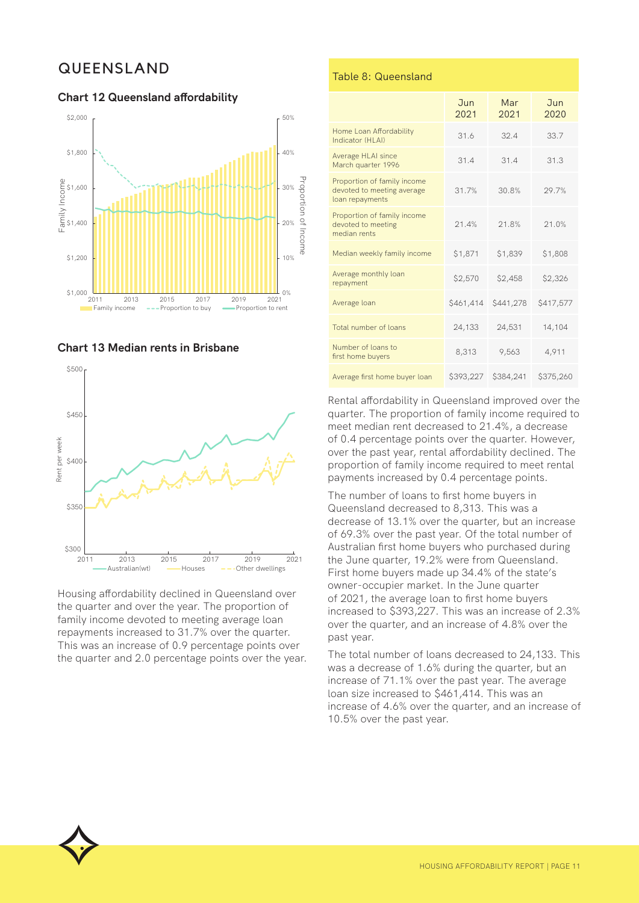## QUEENSLAND

**Chart 12 Queensland affordability**

#### \$2,000 50% \$1,800  $10%$ Proportion of Proportion of e<br>00<br><u>DC</u><br>E \$1,400<br>E \$1,400 30%  $20<sup>o</sup>$ \$1,400 Inco me \$1,200 10%  $$1,000$   $1$ <br>2011  $0%$ 2011 2013 2015 2017 2019 2021 **Family income Proportion to buy Proportion to rent**





Housing affordability declined in Queensland over the quarter and over the year. The proportion of family income devoted to meeting average loan repayments increased to 31.7% over the quarter. This was an increase of 0.9 percentage points over the quarter and 2.0 percentage points over the year.

#### Table 8: Queensland

|                                                                              | $J$ <sub>un</sub><br>2021 | Mar<br>2021 | Jun<br>2020 |
|------------------------------------------------------------------------------|---------------------------|-------------|-------------|
| Home Loan Affordability<br>Indicator (HI AI)                                 | 31.6                      | 32.4        | 33.7        |
| Average HLAI since<br>March quarter 1996                                     | 31.4                      | 31.4        | 31.3        |
| Proportion of family income<br>devoted to meeting average<br>loan repayments | 31.7%                     | 30.8%       | 29.7%       |
| Proportion of family income<br>devoted to meeting<br>median rents            | 21.4%                     | 21.8%       | 21.0%       |
| Median weekly family income                                                  | \$1,871                   | \$1,839     | \$1,808     |
| Average monthly loan<br>repayment                                            | \$2,570                   | \$2,458     | \$2,326     |
| Average loan                                                                 | \$461,414                 | \$441,278   | \$417,577   |
| Total number of loans                                                        | 24,133                    | 24,531      | 14,104      |
| Number of loans to<br>first home buyers                                      | 8,313                     | 9,563       | 4,911       |
| Average first home buyer loan                                                | \$393,227                 | \$384,241   | \$375,260   |

Rental affordability in Queensland improved over the quarter. The proportion of family income required to meet median rent decreased to 21.4%, a decrease of 0.4 percentage points over the quarter. However, over the past year, rental affordability declined. The proportion of family income required to meet rental payments increased by 0.4 percentage points.

The number of loans to first home buyers in Queensland decreased to 8,313. This was a decrease of 13.1% over the quarter, but an increase of 69.3% over the past year. Of the total number of Australian first home buyers who purchased during the June quarter, 19.2% were from Queensland. First home buyers made up 34.4% of the state's owner-occupier market. In the June quarter of 2021, the average loan to first home buyers increased to \$393,227. This was an increase of 2.3% over the quarter, and an increase of 4.8% over the past year.

The total number of loans decreased to 24,133. This was a decrease of 1.6% during the quarter, but an increase of 71.1% over the past year. The average loan size increased to \$461,414. This was an increase of 4.6% over the quarter, and an increase of 10.5% over the past year.

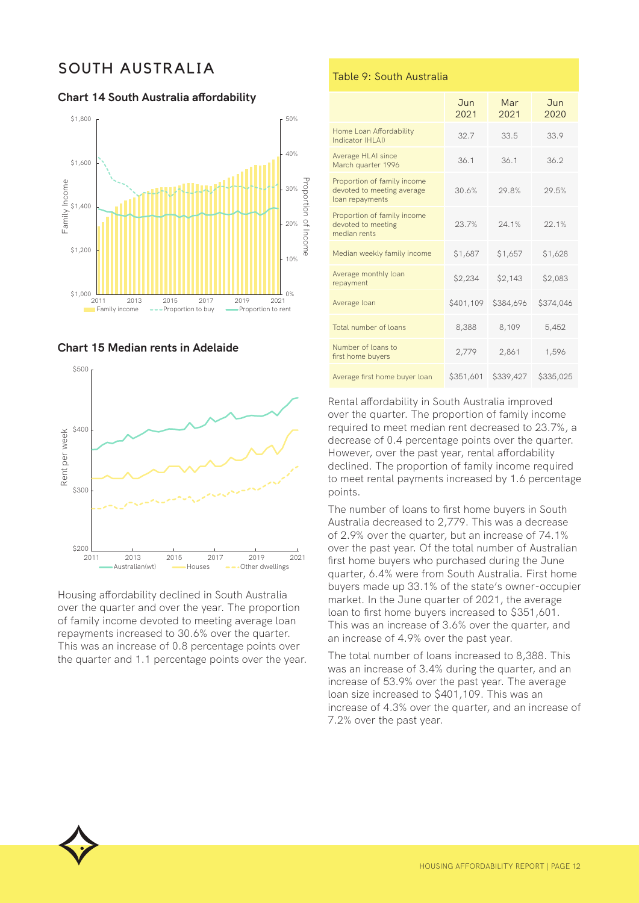## SOUTH AUSTRALIA

**Chart 14 South Australia affordability**







Housing affordability declined in South Australia over the quarter and over the year. The proportion of family income devoted to meeting average loan repayments increased to 30.6% over the quarter. This was an increase of 0.8 percentage points over the quarter and 1.1 percentage points over the year.

#### Table 9: South Australia

|                                                                              | <b>Jun</b><br>2021 | Mar<br>2021 | Jun<br>2020 |
|------------------------------------------------------------------------------|--------------------|-------------|-------------|
| Home Loan Affordability<br>Indicator (HI AI)                                 | 32.7               | 33.5        | 33.9        |
| Average HLAI since<br>March quarter 1996                                     | 36.1               | 36.1        | 36.2        |
| Proportion of family income<br>devoted to meeting average<br>loan repayments | 30.6%              | 29.8%       | 29.5%       |
| Proportion of family income<br>devoted to meeting<br>median rents            | 23.7%              | 24.1%       | 22.1%       |
| Median weekly family income                                                  | \$1,687            | \$1,657     | \$1,628     |
| Average monthly loan<br>repayment                                            | \$2,234            | \$2,143     | \$2,083     |
| Average loan                                                                 | \$401,109          | \$384,696   | \$374,046   |
| Total number of loans                                                        | 8,388              | 8,109       | 5,452       |
| Number of loans to<br>first home buyers                                      | 2,779              | 2,861       | 1,596       |
| Average first home buyer loan                                                | \$351,601          | \$339,427   | \$335,025   |

Rental affordability in South Australia improved over the quarter. The proportion of family income required to meet median rent decreased to 23.7%, a decrease of 0.4 percentage points over the quarter. However, over the past year, rental affordability declined. The proportion of family income required to meet rental payments increased by 1.6 percentage points.

The number of loans to first home buyers in South Australia decreased to 2,779. This was a decrease of 2.9% over the quarter, but an increase of 74.1% over the past year. Of the total number of Australian first home buyers who purchased during the June quarter, 6.4% were from South Australia. First home buyers made up 33.1% of the state's owner-occupier market. In the June quarter of 2021, the average loan to first home buyers increased to \$351,601. This was an increase of 3.6% over the quarter, and an increase of 4.9% over the past year.

The total number of loans increased to 8,388. This was an increase of 3.4% during the quarter, and an increase of 53.9% over the past year. The average loan size increased to \$401,109. This was an increase of 4.3% over the quarter, and an increase of 7.2% over the past year.

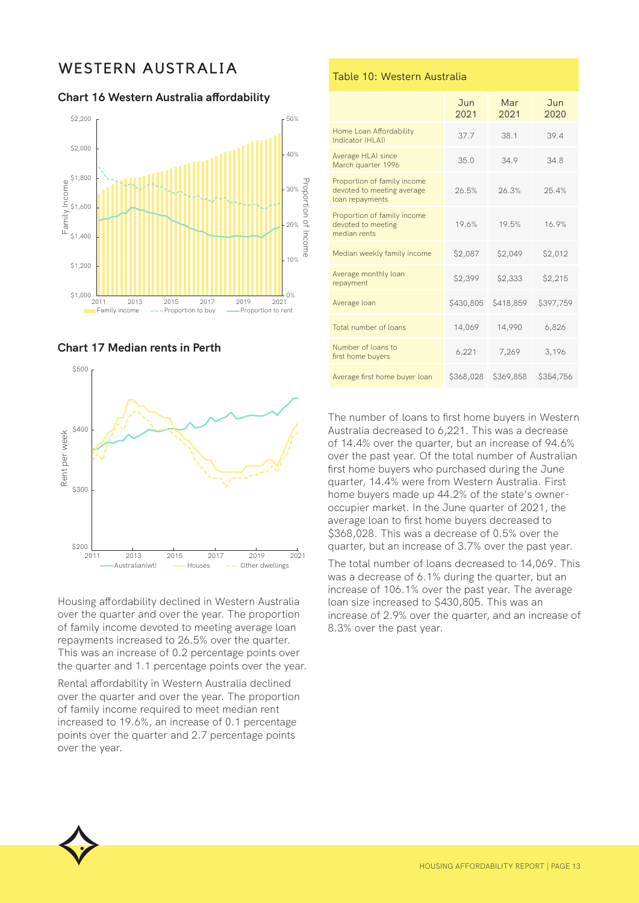## WESTERN AUSTRALIA

**Chart 16 Western Australia affordability**







Housing affordability declined in Western Australia over the quarter and over the year. The proportion of family income devoted to meeting average loan repayments increased to 26.5% over the quarter. This was an increase of 0.2 percentage points over the quarter and 1.1 percentage points over the year.

Rental affordability in Western Australia declined over the quarter and over the year. The proportion of family income required to meet median rent increased to 19.6%, an increase of 0.1 percentage points over the quarter and 2.7 percentage points over the year.

#### Table 10: Western Australia

|                                                                              | <b>Jun</b><br>2021 | Mar<br>2021 | <b>Jun</b><br>2020 |
|------------------------------------------------------------------------------|--------------------|-------------|--------------------|
| Home Loan Affordability<br>Indicator (HI AI)                                 | 37.7               | 38.1        | 39.4               |
| Average HLAI since<br>March quarter 1996                                     | 35.0               | 34.9        | 34.8               |
| Proportion of family income<br>devoted to meeting average<br>loan repayments | 26.5%              | 26.3%       | 25.4%              |
| Proportion of family income<br>devoted to meeting<br>median rents            | 19.6%              | 19.5%       | 16.9%              |
| Median weekly family income                                                  | \$2,087            | \$2,049     | \$2,012            |
| Average monthly loan<br>repayment                                            | \$2,399            | \$2,333     | \$2,215            |
| Average loan                                                                 | \$430,805          | \$418,859   | \$397,759          |
| Total number of loans                                                        | 14,069             | 14,990      | 6,826              |
| Number of loans to<br>first home buyers                                      | 6,221              | 7,269       | 3,196              |
| Average first home buyer loan                                                | \$368,028          | \$369,858   | \$354,756          |

The number of loans to first home buyers in Western Australia decreased to 6,221. This was a decrease of 14.4% over the quarter, but an increase of 94.6% over the past year. Of the total number of Australian first home buyers who purchased during the June quarter, 14.4% were from Western Australia. First home buyers made up 44.2% of the state's owneroccupier market. In the June quarter of 2021, the average loan to first home buyers decreased to \$368,028. This was a decrease of 0.5% over the quarter, but an increase of 3.7% over the past year.

The total number of loans decreased to 14,069. This was a decrease of 6.1% during the quarter, but an increase of 106.1% over the past year. The average loan size increased to \$430,805. This was an increase of 2.9% over the quarter, and an increase of 8.3% over the past year.

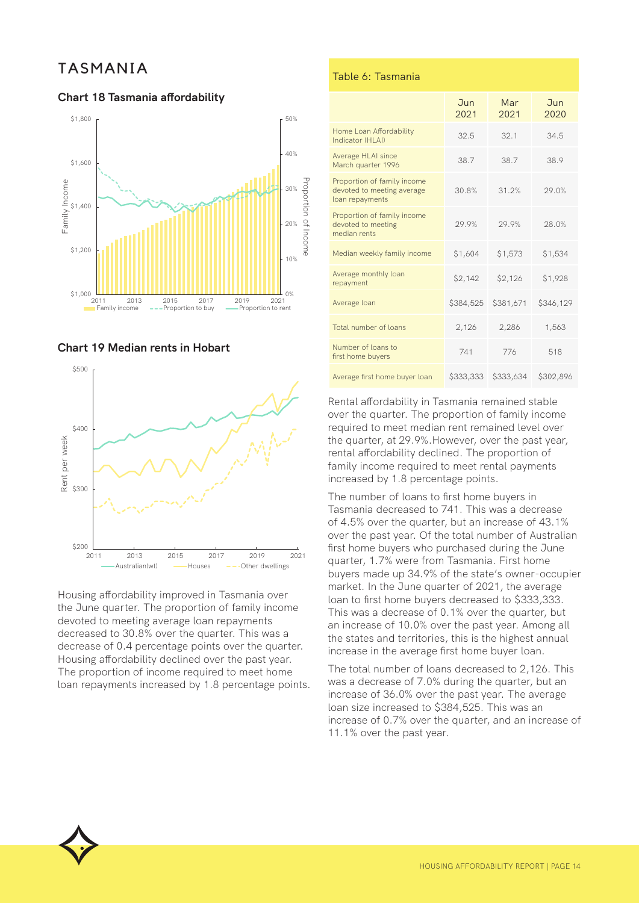## TASMANIA

#### **Chart 18 Tasmania affordability**







Housing affordability improved in Tasmania over the June quarter. The proportion of family income devoted to meeting average loan repayments decreased to 30.8% over the quarter. This was a decrease of 0.4 percentage points over the quarter. Housing affordability declined over the past year. The proportion of income required to meet home loan repayments increased by 1.8 percentage points.

#### Table 6: Tasmania

|                                                                              | <b>Jun</b><br>2021 | Mar<br>2021 | Jun<br>2020 |
|------------------------------------------------------------------------------|--------------------|-------------|-------------|
| Home Loan Affordability<br>Indicator (HI AI)                                 | 32.5               | 32.1        | 34.5        |
| Average HLAI since<br>March quarter 1996                                     | 38.7               | 38.7        | 38.9        |
| Proportion of family income<br>devoted to meeting average<br>loan repayments | 30.8%              | 31.2%       | 29.0%       |
| Proportion of family income<br>devoted to meeting<br>median rents            | 29.9%              | 29.9%       | 28.0%       |
| Median weekly family income                                                  | \$1,604            | \$1,573     | \$1,534     |
| Average monthly loan<br>repayment                                            | \$2,142            | \$2,126     | \$1,928     |
| Average loan                                                                 | \$384,525          | \$381,671   | \$346,129   |
| Total number of loans                                                        | 2,126              | 2,286       | 1,563       |
| Number of loans to<br>first home buyers                                      | 741                | 776         | 518         |
| Average first home buyer loan                                                | \$333,333          | \$333,634   | \$302,896   |

Rental affordability in Tasmania remained stable over the quarter. The proportion of family income required to meet median rent remained level over the quarter, at 29.9%.However, over the past year, rental affordability declined. The proportion of family income required to meet rental payments increased by 1.8 percentage points.

The number of loans to first home buyers in Tasmania decreased to 741. This was a decrease of 4.5% over the quarter, but an increase of 43.1% over the past year. Of the total number of Australian first home buyers who purchased during the June quarter, 1.7% were from Tasmania. First home buyers made up 34.9% of the state's owner-occupier market. In the June quarter of 2021, the average loan to first home buyers decreased to \$333,333. This was a decrease of 0.1% over the quarter, but an increase of 10.0% over the past year. Among all the states and territories, this is the highest annual increase in the average first home buyer loan.

The total number of loans decreased to 2,126. This was a decrease of 7.0% during the quarter, but an increase of 36.0% over the past year. The average loan size increased to \$384,525. This was an increase of 0.7% over the quarter, and an increase of 11.1% over the past year.

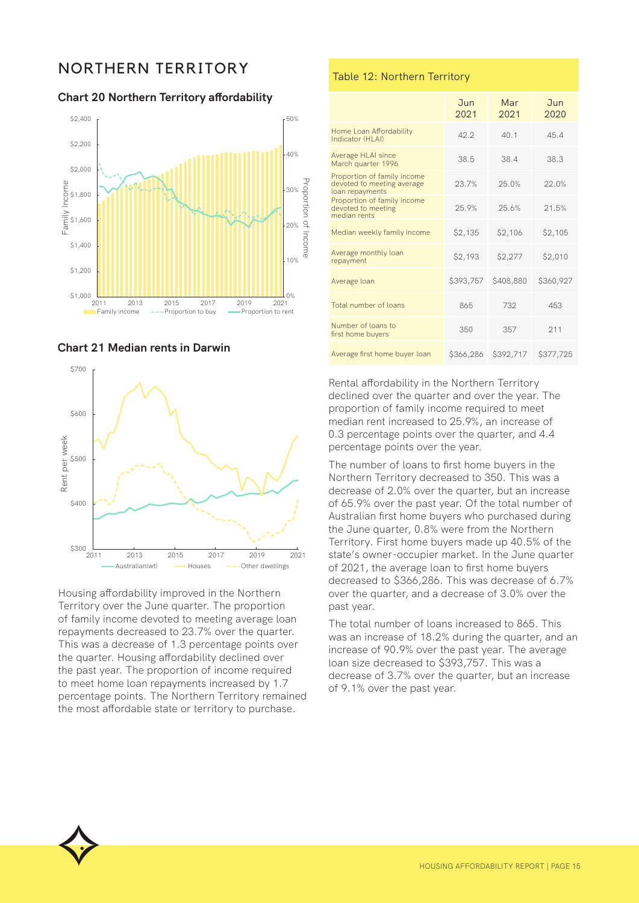## NORTHERN TERRITORY

**Chart 20 Northern Territory affordability**



**Chart 21 Median rents in Darwin**



Housing affordability improved in the Northern Territory over the June quarter. The proportion of family income devoted to meeting average loan repayments decreased to 23.7% over the quarter. This was a decrease of 1.3 percentage points over the quarter. Housing affordability declined over the past year. The proportion of income required to meet home loan repayments increased by 1.7 percentage points. The Northern Territory remained the most affordable state or territory to purchase.

#### Table 12: Northern Territory

|                                                                              | <b>Jun</b><br>2021 | Mar<br>2021 | Jun<br>2020 |
|------------------------------------------------------------------------------|--------------------|-------------|-------------|
| Home Loan Affordability<br>Indicator (HI AI)                                 | 42.2               | 40.1        | 45.4        |
| Average HLAI since<br>March quarter 1996                                     | 38.5               | 38.4        | 38.3        |
| Proportion of family income<br>devoted to meeting average<br>loan repayments | 23.7%              | 25.0%       | 22.0%       |
| Proportion of family income<br>devoted to meeting<br>median rents            | 25.9%              | 25.6%       | 21.5%       |
| Median weekly family income                                                  | \$2,135            | \$2,106     | \$2,105     |
| Average monthly loan<br>repayment                                            | \$2,193            | \$2,277     | \$2,010     |
| Average loan                                                                 | \$393,757          | \$408,880   | \$360,927   |
| Total number of loans                                                        | 865                | 732         | 453         |
| Number of loans to<br>first home buyers                                      | 350                | 357         | 211         |
| Average first home buyer loan                                                | \$366,286          | \$392,717   | \$377,725   |

Rental affordability in the Northern Territory declined over the quarter and over the year. The proportion of family income required to meet median rent increased to 25.9%, an increase of 0.3 percentage points over the quarter, and 4.4 percentage points over the year.

The number of loans to first home buyers in the Northern Territory decreased to 350. This was a decrease of 2.0% over the quarter, but an increase of 65.9% over the past year. Of the total number of Australian first home buyers who purchased during the June quarter, 0.8% were from the Northern Territory. First home buyers made up 40.5% of the state's owner-occupier market. In the June quarter of 2021, the average loan to first home buyers decreased to \$366,286. This was decrease of 6.7% over the quarter, and a decrease of 3.0% over the past year.

The total number of loans increased to 865. This was an increase of 18.2% during the quarter, and an increase of 90.9% over the past year. The average loan size decreased to \$393,757. This was a decrease of 3.7% over the quarter, but an increase of 9.1% over the past year.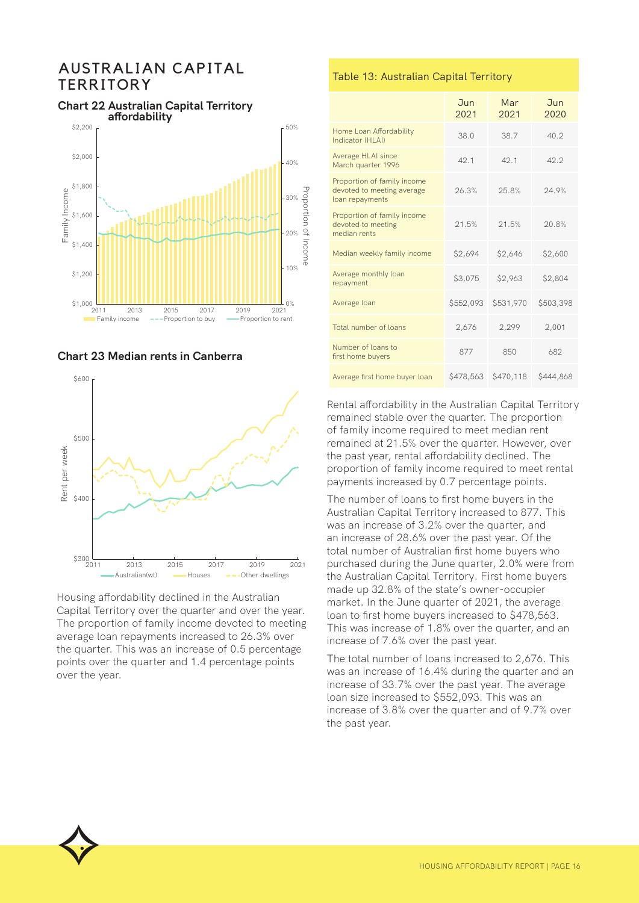## AUSTRALIAN CAPITAL **TERRITORY**

#### **Chart 22 Australian Capital Territory**







Housing affordability declined in the Australian Capital Territory over the quarter and over the year. The proportion of family income devoted to meeting average loan repayments increased to 26.3% over the quarter. This was an increase of 0.5 percentage points over the quarter and 1.4 percentage points over the year.

#### Table 13: Australian Capital Territory

|                                                                              | <b>Jun</b><br>2021 | Mar<br>2021 | Jun<br>2020 |
|------------------------------------------------------------------------------|--------------------|-------------|-------------|
| Home Loan Affordability<br>Indicator (HLAI)                                  | 38.0               | 38.7        | 40.2        |
| Average HLAI since<br>March quarter 1996                                     | 42.1               | 42.1        | 42.2        |
| Proportion of family income<br>devoted to meeting average<br>loan repayments | 26.3%              | 25.8%       | 24.9%       |
| Proportion of family income<br>devoted to meeting<br>median rents            | 21.5%              | 21.5%       | 20.8%       |
| Median weekly family income                                                  | \$2,694            | \$2,646     | \$2,600     |
| Average monthly loan<br>repayment                                            | \$3,075            | \$2,963     | \$2,804     |
| Average loan                                                                 | \$552,093          | \$531,970   | \$503,398   |
| Total number of loans                                                        | 2,676              | 2,299       | 2,001       |
| Number of loans to<br>first home buyers                                      | 877                | 850         | 682         |
| Average first home buyer loan                                                | \$478,563          | \$470,118   | \$444,868   |

Rental affordability in the Australian Capital Territory remained stable over the quarter. The proportion of family income required to meet median rent remained at 21.5% over the quarter. However, over the past year, rental affordability declined. The proportion of family income required to meet rental payments increased by 0.7 percentage points.

The number of loans to first home buyers in the Australian Capital Territory increased to 877. This was an increase of 3.2% over the quarter, and an increase of 28.6% over the past year. Of the total number of Australian first home buyers who purchased during the June quarter, 2.0% were from the Australian Capital Territory. First home buyers made up 32.8% of the state's owner-occupier market. In the June quarter of 2021, the average loan to first home buyers increased to \$478,563. This was increase of 1.8% over the quarter, and an increase of 7.6% over the past year.

The total number of loans increased to 2,676. This was an increase of 16.4% during the quarter and an increase of 33.7% over the past year. The average loan size increased to \$552,093. This was an increase of 3.8% over the quarter and of 9.7% over the past year.